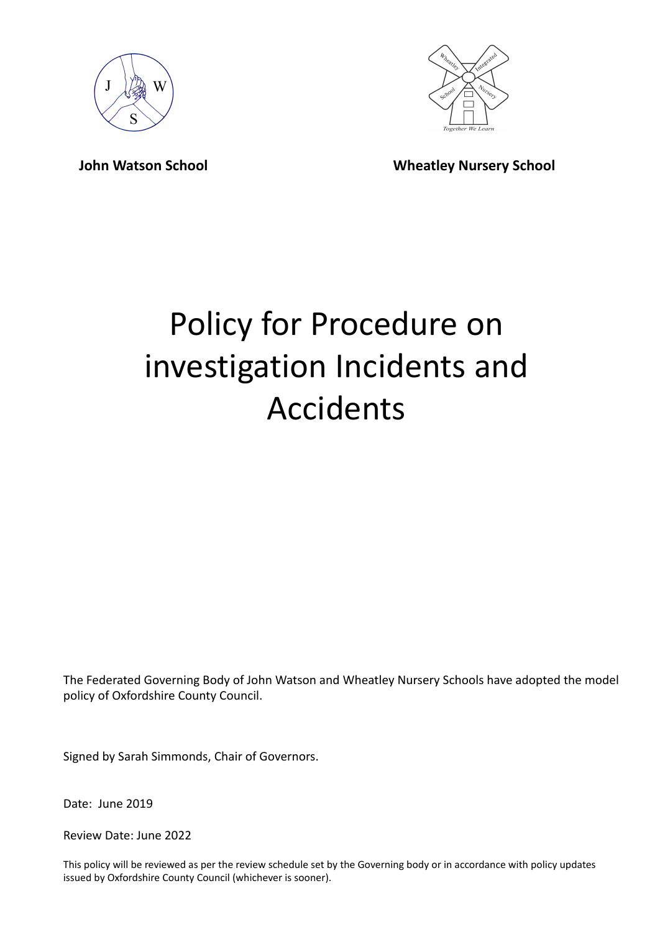



**John Watson School Wheatley Nursery School**

# Policy for Procedure on investigation Incidents and Accidents

The Federated Governing Body of John Watson and Wheatley Nursery Schools have adopted the model policy of Oxfordshire County Council.

Signed by Sarah Simmonds, Chair of Governors.

Date: June 2019

Review Date: June 2022

This policy will be reviewed as per the review schedule set by the Governing body or in accordance with policy updates issued by Oxfordshire County Council (whichever is sooner).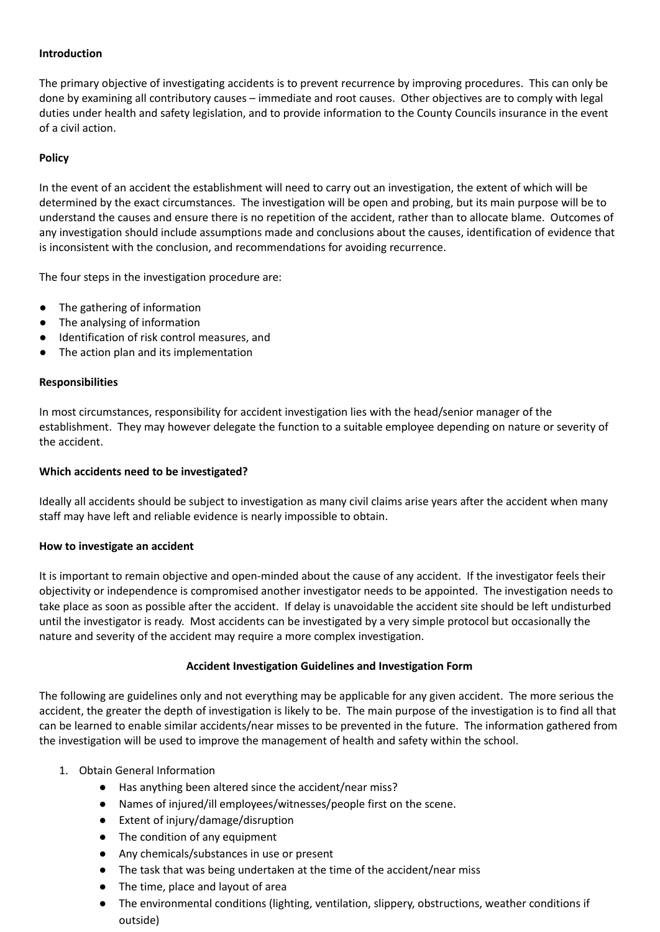## **Introduction**

The primary objective of investigating accidents is to prevent recurrence by improving procedures. This can only be done by examining all contributory causes – immediate and root causes. Other objectives are to comply with legal duties under health and safety legislation, and to provide information to the County Councils insurance in the event of a civil action.

### **Policy**

In the event of an accident the establishment will need to carry out an investigation, the extent of which will be determined by the exact circumstances. The investigation will be open and probing, but its main purpose will be to understand the causes and ensure there is no repetition of the accident, rather than to allocate blame. Outcomes of any investigation should include assumptions made and conclusions about the causes, identification of evidence that is inconsistent with the conclusion, and recommendations for avoiding recurrence.

The four steps in the investigation procedure are:

- The gathering of information
- The analysing of information
- Identification of risk control measures, and
- The action plan and its implementation

#### **Responsibilities**

In most circumstances, responsibility for accident investigation lies with the head/senior manager of the establishment. They may however delegate the function to a suitable employee depending on nature or severity of the accident.

#### **Which accidents need to be investigated?**

Ideally all accidents should be subject to investigation as many civil claims arise years after the accident when many staff may have left and reliable evidence is nearly impossible to obtain.

#### **How to investigate an accident**

It is important to remain objective and open-minded about the cause of any accident. If the investigator feels their objectivity or independence is compromised another investigator needs to be appointed. The investigation needs to take place as soon as possible after the accident. If delay is unavoidable the accident site should be left undisturbed until the investigator is ready. Most accidents can be investigated by a very simple protocol but occasionally the nature and severity of the accident may require a more complex investigation.

#### **Accident Investigation Guidelines and Investigation Form**

The following are guidelines only and not everything may be applicable for any given accident. The more serious the accident, the greater the depth of investigation is likely to be. The main purpose of the investigation is to find all that can be learned to enable similar accidents/near misses to be prevented in the future. The information gathered from the investigation will be used to improve the management of health and safety within the school.

- 1. Obtain General Information
	- Has anything been altered since the accident/near miss?
	- Names of injured/ill employees/witnesses/people first on the scene.
	- Extent of injury/damage/disruption
	- The condition of any equipment
	- Any chemicals/substances in use or present
	- The task that was being undertaken at the time of the accident/near miss
	- The time, place and layout of area
	- The environmental conditions (lighting, ventilation, slippery, obstructions, weather conditions if outside)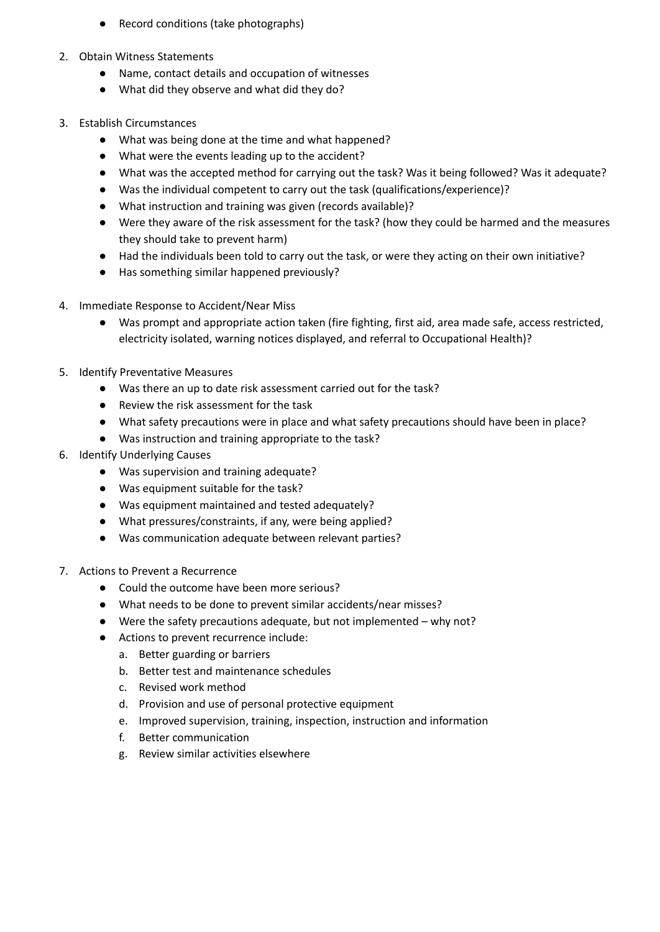- Record conditions (take photographs)
- 2. Obtain Witness Statements
	- Name, contact details and occupation of witnesses
	- What did they observe and what did they do?
- 3. Establish Circumstances
	- What was being done at the time and what happened?
	- What were the events leading up to the accident?
	- What was the accepted method for carrying out the task? Was it being followed? Was it adequate?
	- Was the individual competent to carry out the task (qualifications/experience)?
	- What instruction and training was given (records available)?
	- Were they aware of the risk assessment for the task? (how they could be harmed and the measures they should take to prevent harm)
	- Had the individuals been told to carry out the task, or were they acting on their own initiative?
	- Has something similar happened previously?
- 4. Immediate Response to Accident/Near Miss
	- Was prompt and appropriate action taken (fire fighting, first aid, area made safe, access restricted, electricity isolated, warning notices displayed, and referral to Occupational Health)?
- 5. Identify Preventative Measures
	- Was there an up to date risk assessment carried out for the task?
	- Review the risk assessment for the task
	- What safety precautions were in place and what safety precautions should have been in place?
	- Was instruction and training appropriate to the task?
- 6. Identify Underlying Causes
	- Was supervision and training adequate?
	- Was equipment suitable for the task?
	- Was equipment maintained and tested adequately?
	- What pressures/constraints, if any, were being applied?
	- Was communication adequate between relevant parties?
- 7. Actions to Prevent a Recurrence
	- Could the outcome have been more serious?
	- What needs to be done to prevent similar accidents/near misses?
	- Were the safety precautions adequate, but not implemented why not?
	- Actions to prevent recurrence include:
		- a. Better guarding or barriers
		- b. Better test and maintenance schedules
		- c. Revised work method
		- d. Provision and use of personal protective equipment
		- e. Improved supervision, training, inspection, instruction and information
		- f. Better communication
		- g. Review similar activities elsewhere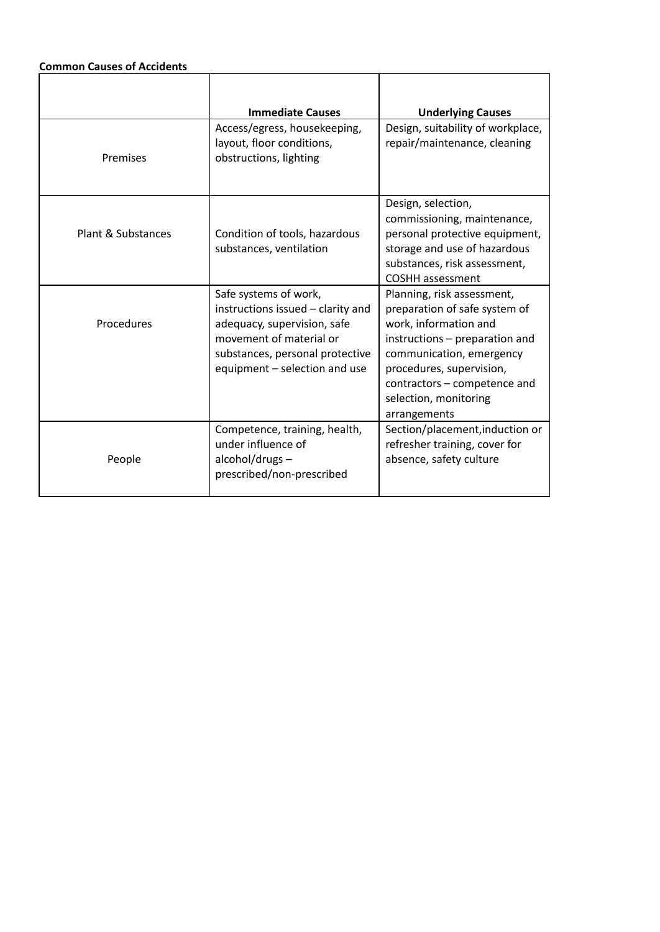# **Common Causes of Accidents**

|                    | <b>Immediate Causes</b>                                                                                                                                                                  | <b>Underlying Causes</b>                                                                                                                                                                                                                                |
|--------------------|------------------------------------------------------------------------------------------------------------------------------------------------------------------------------------------|---------------------------------------------------------------------------------------------------------------------------------------------------------------------------------------------------------------------------------------------------------|
| Premises           | Access/egress, housekeeping,<br>layout, floor conditions,<br>obstructions, lighting                                                                                                      | Design, suitability of workplace,<br>repair/maintenance, cleaning                                                                                                                                                                                       |
| Plant & Substances | Condition of tools, hazardous<br>substances, ventilation                                                                                                                                 | Design, selection,<br>commissioning, maintenance,<br>personal protective equipment,<br>storage and use of hazardous<br>substances, risk assessment,<br><b>COSHH</b> assessment                                                                          |
| Procedures         | Safe systems of work,<br>instructions issued - clarity and<br>adequacy, supervision, safe<br>movement of material or<br>substances, personal protective<br>equipment - selection and use | Planning, risk assessment,<br>preparation of safe system of<br>work, information and<br>instructions – preparation and<br>communication, emergency<br>procedures, supervision,<br>contractors - competence and<br>selection, monitoring<br>arrangements |
| People             | Competence, training, health,<br>under influence of<br>alcohol/drugs-<br>prescribed/non-prescribed                                                                                       | Section/placement, induction or<br>refresher training, cover for<br>absence, safety culture                                                                                                                                                             |

٦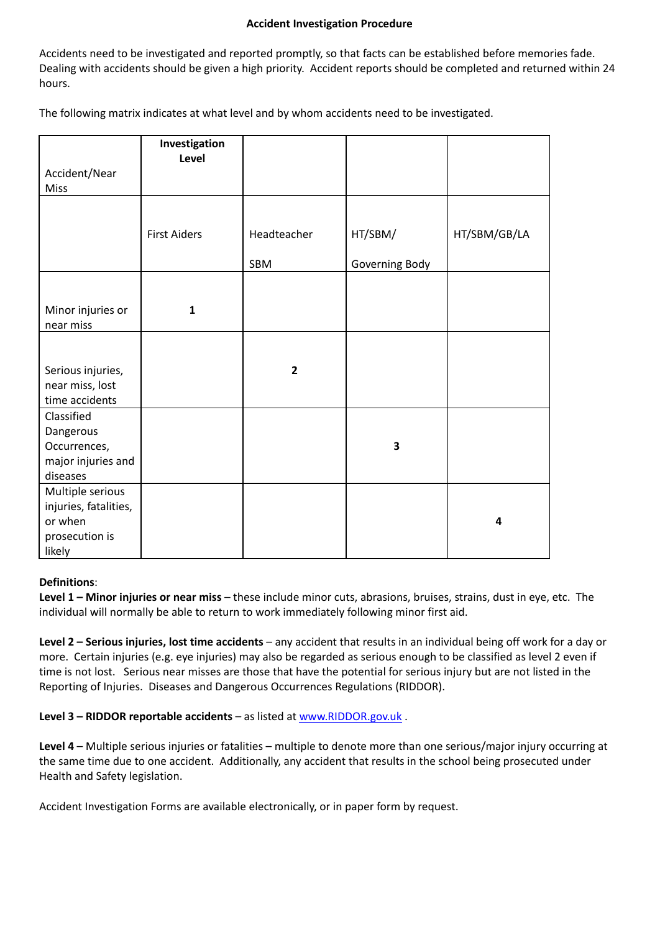#### **Accident Investigation Procedure**

Accidents need to be investigated and reported promptly, so that facts can be established before memories fade. Dealing with accidents should be given a high priority. Accident reports should be completed and returned within 24 hours.

The following matrix indicates at what level and by whom accidents need to be investigated.

| HT/SBM/GB/LA |
|--------------|
|              |
|              |
|              |
|              |
|              |
|              |
|              |
|              |
|              |
|              |
|              |
|              |
|              |
|              |

#### **Definitions**:

**Level 1 – Minor injuries or near miss** – these include minor cuts, abrasions, bruises, strains, dust in eye, etc. The individual will normally be able to return to work immediately following minor first aid.

**Level 2 – Serious injuries, lost time accidents** – any accident that results in an individual being off work for a day or more. Certain injuries (e.g. eye injuries) may also be regarded as serious enough to be classified as level 2 even if time is not lost. Serious near misses are those that have the potential for serious injury but are not listed in the Reporting of Injuries. Diseases and Dangerous Occurrences Regulations (RIDDOR).

**Level 3 – RIDDOR reportable accidents** – as listed at [www.RIDDOR.gov.uk](http://www.riddor.gov.uk) .

**Level 4** – Multiple serious injuries or fatalities – multiple to denote more than one serious/major injury occurring at the same time due to one accident. Additionally, any accident that results in the school being prosecuted under Health and Safety legislation.

Accident Investigation Forms are available electronically, or in paper form by request.